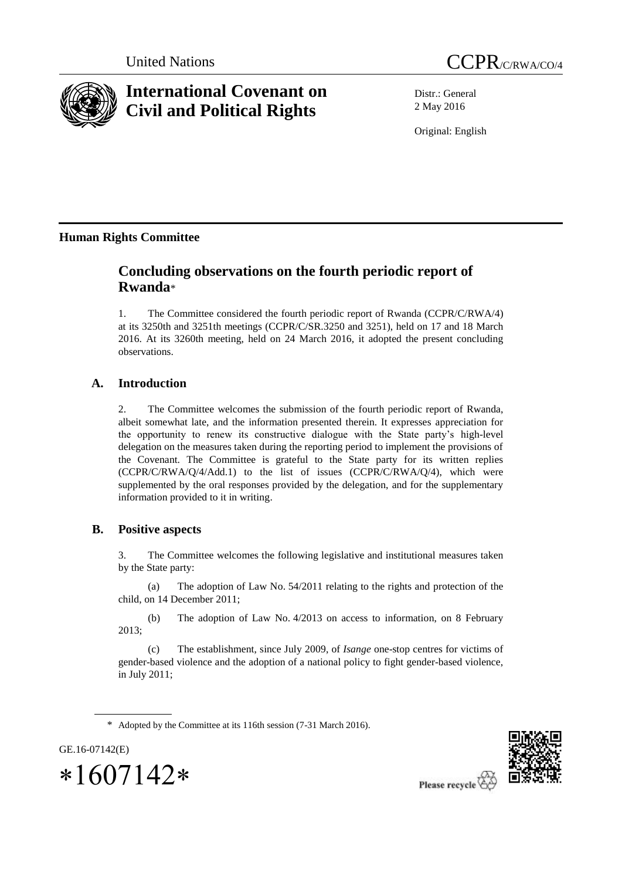



# **International Covenant on Civil and Political Rights**

Distr.: General 2 May 2016

Original: English

# **Human Rights Committee**

# **Concluding observations on the fourth periodic report of Rwanda**\*

1. The Committee considered the fourth periodic report of Rwanda (CCPR/C/RWA/4) at its 3250th and 3251th meetings (CCPR/C/SR.3250 and 3251), held on 17 and 18 March 2016. At its 3260th meeting, held on 24 March 2016, it adopted the present concluding observations.

# **A. Introduction**

2. The Committee welcomes the submission of the fourth periodic report of Rwanda, albeit somewhat late, and the information presented therein. It expresses appreciation for the opportunity to renew its constructive dialogue with the State party's high-level delegation on the measures taken during the reporting period to implement the provisions of the Covenant. The Committee is grateful to the State party for its written replies (CCPR/C/RWA/Q/4/Add.1) to the list of issues (CCPR/C/RWA/Q/4), which were supplemented by the oral responses provided by the delegation, and for the supplementary information provided to it in writing.

# **B. Positive aspects**

3. The Committee welcomes the following legislative and institutional measures taken by the State party:

(a) The adoption of Law No. 54/2011 relating to the rights and protection of the child, on 14 December 2011;

(b) The adoption of Law No. 4/2013 on access to information, on 8 February 2013;

(c) The establishment, since July 2009, of *Isange* one-stop centres for victims of gender-based violence and the adoption of a national policy to fight gender-based violence, in July 2011;

\* Adopted by the Committee at its 116th session (7-31 March 2016).



 $*1607142*$ 

GE.16-07142(E)

Please recycle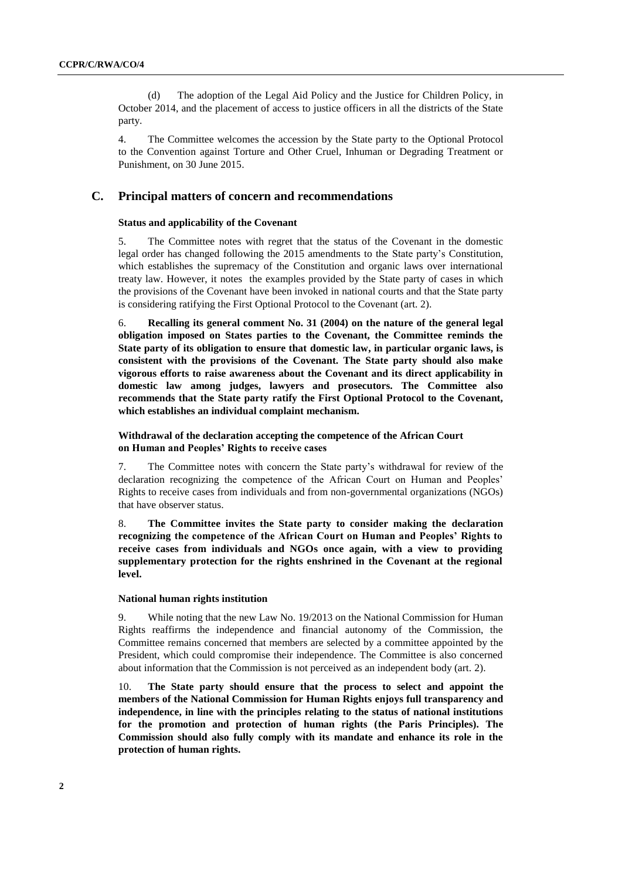(d) The adoption of the Legal Aid Policy and the Justice for Children Policy, in October 2014, and the placement of access to justice officers in all the districts of the State party.

4. The Committee welcomes the accession by the State party to the Optional Protocol to the Convention against Torture and Other Cruel, Inhuman or Degrading Treatment or Punishment, on 30 June 2015.

# **C. Principal matters of concern and recommendations**

### **Status and applicability of the Covenant**

5. The Committee notes with regret that the status of the Covenant in the domestic legal order has changed following the 2015 amendments to the State party's Constitution, which establishes the supremacy of the Constitution and organic laws over international treaty law. However, it notes the examples provided by the State party of cases in which the provisions of the Covenant have been invoked in national courts and that the State party is considering ratifying the First Optional Protocol to the Covenant (art. 2).

6. **Recalling its general comment No. 31 (2004) on the nature of the general legal obligation imposed on States parties to the Covenant, the Committee reminds the State party of its obligation to ensure that domestic law, in particular organic laws, is consistent with the provisions of the Covenant. The State party should also make vigorous efforts to raise awareness about the Covenant and its direct applicability in domestic law among judges, lawyers and prosecutors. The Committee also recommends that the State party ratify the First Optional Protocol to the Covenant, which establishes an individual complaint mechanism.**

### **Withdrawal of the declaration accepting the competence of the African Court on Human and Peoples' Rights to receive cases**

7. The Committee notes with concern the State party's withdrawal for review of the declaration recognizing the competence of the African Court on Human and Peoples' Rights to receive cases from individuals and from non-governmental organizations (NGOs) that have observer status.

8. **The Committee invites the State party to consider making the declaration recognizing the competence of the African Court on Human and Peoples' Rights to receive cases from individuals and NGOs once again, with a view to providing supplementary protection for the rights enshrined in the Covenant at the regional level.**

#### **National human rights institution**

9. While noting that the new Law No. 19/2013 on the National Commission for Human Rights reaffirms the independence and financial autonomy of the Commission, the Committee remains concerned that members are selected by a committee appointed by the President, which could compromise their independence. The Committee is also concerned about information that the Commission is not perceived as an independent body (art. 2).

10. **The State party should ensure that the process to select and appoint the members of the National Commission for Human Rights enjoys full transparency and independence, in line with the principles relating to the status of national institutions for the promotion and protection of human rights (the Paris Principles). The Commission should also fully comply with its mandate and enhance its role in the protection of human rights.**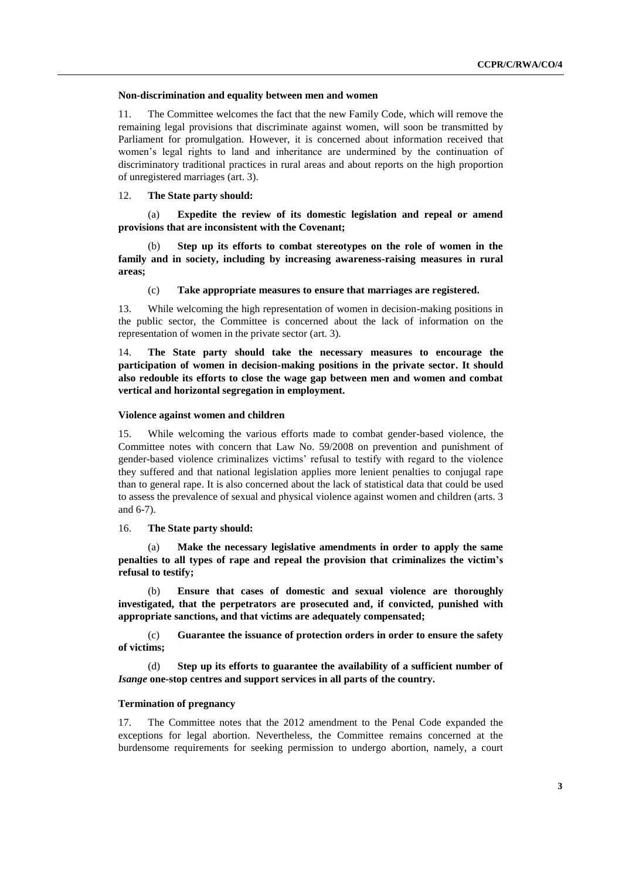#### **Non-discrimination and equality between men and women**

11. The Committee welcomes the fact that the new Family Code, which will remove the remaining legal provisions that discriminate against women, will soon be transmitted by Parliament for promulgation. However, it is concerned about information received that women's legal rights to land and inheritance are undermined by the continuation of discriminatory traditional practices in rural areas and about reports on the high proportion of unregistered marriages (art. 3).

#### 12. **The State party should:**

(a) **Expedite the review of its domestic legislation and repeal or amend provisions that are inconsistent with the Covenant;**

Step up its efforts to combat stereotypes on the role of women in the **family and in society, including by increasing awareness-raising measures in rural areas;**

(c) **Take appropriate measures to ensure that marriages are registered.**

13. While welcoming the high representation of women in decision-making positions in the public sector, the Committee is concerned about the lack of information on the representation of women in the private sector (art. 3).

14. **The State party should take the necessary measures to encourage the participation of women in decision-making positions in the private sector. It should also redouble its efforts to close the wage gap between men and women and combat vertical and horizontal segregation in employment.**

#### **Violence against women and children**

15. While welcoming the various efforts made to combat gender-based violence, the Committee notes with concern that Law No. 59/2008 on prevention and punishment of gender-based violence criminalizes victims' refusal to testify with regard to the violence they suffered and that national legislation applies more lenient penalties to conjugal rape than to general rape. It is also concerned about the lack of statistical data that could be used to assess the prevalence of sexual and physical violence against women and children (arts. 3 and 6-7).

16. **The State party should:**

(a) **Make the necessary legislative amendments in order to apply the same penalties to all types of rape and repeal the provision that criminalizes the victim's refusal to testify;**

(b) **Ensure that cases of domestic and sexual violence are thoroughly investigated, that the perpetrators are prosecuted and, if convicted, punished with appropriate sanctions, and that victims are adequately compensated;**

(c) **Guarantee the issuance of protection orders in order to ensure the safety of victims;**

(d) **Step up its efforts to guarantee the availability of a sufficient number of**  *Isange* **one-stop centres and support services in all parts of the country.**

### **Termination of pregnancy**

17. The Committee notes that the 2012 amendment to the Penal Code expanded the exceptions for legal abortion. Nevertheless, the Committee remains concerned at the burdensome requirements for seeking permission to undergo abortion, namely, a court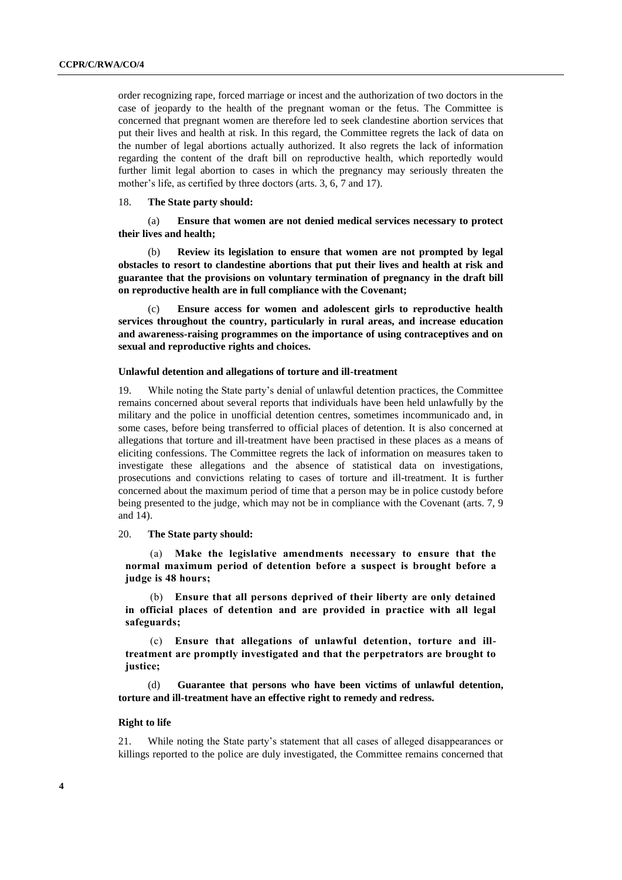order recognizing rape, forced marriage or incest and the authorization of two doctors in the case of jeopardy to the health of the pregnant woman or the fetus. The Committee is concerned that pregnant women are therefore led to seek clandestine abortion services that put their lives and health at risk. In this regard, the Committee regrets the lack of data on the number of legal abortions actually authorized. It also regrets the lack of information regarding the content of the draft bill on reproductive health, which reportedly would further limit legal abortion to cases in which the pregnancy may seriously threaten the mother's life, as certified by three doctors (arts. 3, 6, 7 and 17).

18. **The State party should:**

(a) **Ensure that women are not denied medical services necessary to protect their lives and health;**

Review its legislation to ensure that women are not prompted by legal **obstacles to resort to clandestine abortions that put their lives and health at risk and guarantee that the provisions on voluntary termination of pregnancy in the draft bill on reproductive health are in full compliance with the Covenant;**

(c) **Ensure access for women and adolescent girls to reproductive health services throughout the country, particularly in rural areas, and increase education and awareness-raising programmes on the importance of using contraceptives and on sexual and reproductive rights and choices.** 

#### **Unlawful detention and allegations of torture and ill-treatment**

19. While noting the State party's denial of unlawful detention practices, the Committee remains concerned about several reports that individuals have been held unlawfully by the military and the police in unofficial detention centres, sometimes incommunicado and, in some cases, before being transferred to official places of detention. It is also concerned at allegations that torture and ill-treatment have been practised in these places as a means of eliciting confessions. The Committee regrets the lack of information on measures taken to investigate these allegations and the absence of statistical data on investigations, prosecutions and convictions relating to cases of torture and ill-treatment. It is further concerned about the maximum period of time that a person may be in police custody before being presented to the judge, which may not be in compliance with the Covenant (arts. 7, 9 and 14).

20. **The State party should:**

(a) **Make the legislative amendments necessary to ensure that the normal maximum period of detention before a suspect is brought before a judge is 48 hours;**

(b) **Ensure that all persons deprived of their liberty are only detained in official places of detention and are provided in practice with all legal safeguards;**

(c) **Ensure that allegations of unlawful detention, torture and illtreatment are promptly investigated and that the perpetrators are brought to justice;**

(d) **Guarantee that persons who have been victims of unlawful detention, torture and ill-treatment have an effective right to remedy and redress.** 

#### **Right to life**

21. While noting the State party's statement that all cases of alleged disappearances or killings reported to the police are duly investigated, the Committee remains concerned that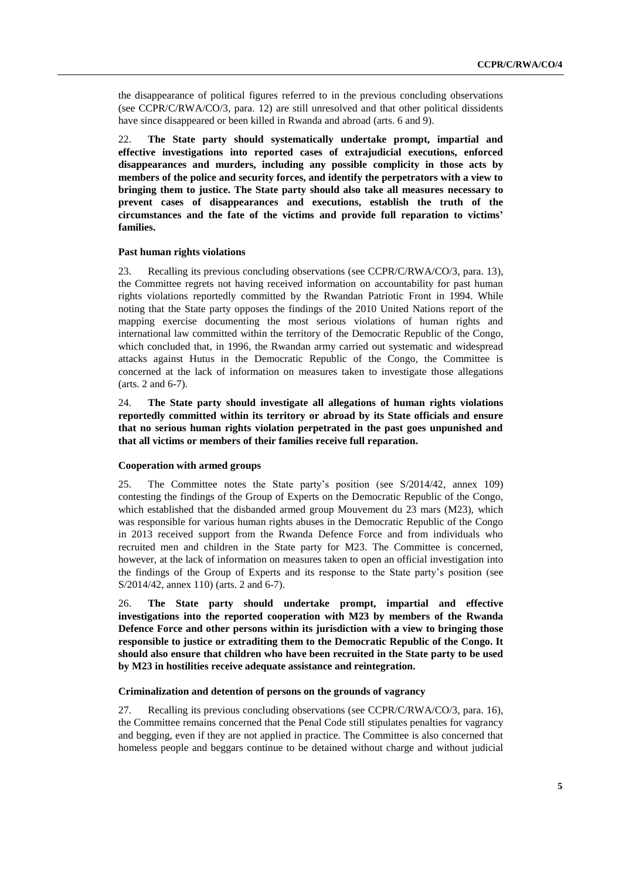the disappearance of political figures referred to in the previous concluding observations (see CCPR/C/RWA/CO/3, para. 12) are still unresolved and that other political dissidents have since disappeared or been killed in Rwanda and abroad (arts. 6 and 9).

22. **The State party should systematically undertake prompt, impartial and effective investigations into reported cases of extrajudicial executions, enforced disappearances and murders, including any possible complicity in those acts by members of the police and security forces, and identify the perpetrators with a view to bringing them to justice. The State party should also take all measures necessary to prevent cases of disappearances and executions, establish the truth of the circumstances and the fate of the victims and provide full reparation to victims' families.**

#### **Past human rights violations**

23. Recalling its previous concluding observations (see CCPR/C/RWA/CO/3, para. 13), the Committee regrets not having received information on accountability for past human rights violations reportedly committed by the Rwandan Patriotic Front in 1994. While noting that the State party opposes the findings of the 2010 United Nations report of the mapping exercise documenting the most serious violations of human rights and international law committed within the territory of the Democratic Republic of the Congo, which concluded that, in 1996, the Rwandan army carried out systematic and widespread attacks against Hutus in the Democratic Republic of the Congo, the Committee is concerned at the lack of information on measures taken to investigate those allegations (arts. 2 and 6-7).

24. **The State party should investigate all allegations of human rights violations reportedly committed within its territory or abroad by its State officials and ensure that no serious human rights violation perpetrated in the past goes unpunished and that all victims or members of their families receive full reparation.** 

#### **Cooperation with armed groups**

25. The Committee notes the State party's position (see S/2014/42, annex 109) contesting the findings of the Group of Experts on the Democratic Republic of the Congo, which established that the disbanded armed group Mouvement du 23 mars (M23), which was responsible for various human rights abuses in the Democratic Republic of the Congo in 2013 received support from the Rwanda Defence Force and from individuals who recruited men and children in the State party for M23. The Committee is concerned, however, at the lack of information on measures taken to open an official investigation into the findings of the Group of Experts and its response to the State party's position (see S/2014/42, annex 110) (arts. 2 and 6-7).

26. **The State party should undertake prompt, impartial and effective investigations into the reported cooperation with M23 by members of the Rwanda Defence Force and other persons within its jurisdiction with a view to bringing those responsible to justice or extraditing them to the Democratic Republic of the Congo. It should also ensure that children who have been recruited in the State party to be used by M23 in hostilities receive adequate assistance and reintegration.** 

#### **Criminalization and detention of persons on the grounds of vagrancy**

27. Recalling its previous concluding observations (see CCPR/C/RWA/CO/3, para. 16), the Committee remains concerned that the Penal Code still stipulates penalties for vagrancy and begging, even if they are not applied in practice. The Committee is also concerned that homeless people and beggars continue to be detained without charge and without judicial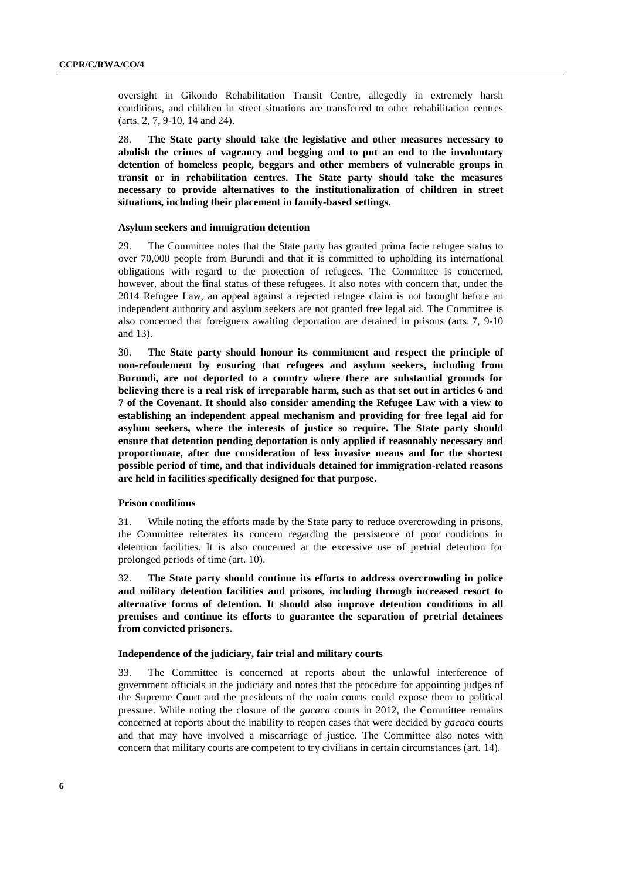oversight in Gikondo Rehabilitation Transit Centre, allegedly in extremely harsh conditions, and children in street situations are transferred to other rehabilitation centres (arts. 2, 7, 9-10, 14 and 24).

28. **The State party should take the legislative and other measures necessary to abolish the crimes of vagrancy and begging and to put an end to the involuntary detention of homeless people, beggars and other members of vulnerable groups in transit or in rehabilitation centres. The State party should take the measures necessary to provide alternatives to the institutionalization of children in street situations, including their placement in family-based settings.** 

#### **Asylum seekers and immigration detention**

29. The Committee notes that the State party has granted prima facie refugee status to over 70,000 people from Burundi and that it is committed to upholding its international obligations with regard to the protection of refugees. The Committee is concerned, however, about the final status of these refugees. It also notes with concern that, under the 2014 Refugee Law, an appeal against a rejected refugee claim is not brought before an independent authority and asylum seekers are not granted free legal aid. The Committee is also concerned that foreigners awaiting deportation are detained in prisons (arts. 7, 9-10 and 13).

30. **The State party should honour its commitment and respect the principle of non-refoulement by ensuring that refugees and asylum seekers, including from Burundi, are not deported to a country where there are substantial grounds for believing there is a real risk of irreparable harm, such as that set out in articles 6 and 7 of the Covenant. It should also consider amending the Refugee Law with a view to establishing an independent appeal mechanism and providing for free legal aid for asylum seekers, where the interests of justice so require. The State party should ensure that detention pending deportation is only applied if reasonably necessary and proportionate, after due consideration of less invasive means and for the shortest possible period of time, and that individuals detained for immigration-related reasons are held in facilities specifically designed for that purpose.**

### **Prison conditions**

31. While noting the efforts made by the State party to reduce overcrowding in prisons, the Committee reiterates its concern regarding the persistence of poor conditions in detention facilities. It is also concerned at the excessive use of pretrial detention for prolonged periods of time (art. 10).

32. **The State party should continue its efforts to address overcrowding in police and military detention facilities and prisons, including through increased resort to alternative forms of detention. It should also improve detention conditions in all premises and continue its efforts to guarantee the separation of pretrial detainees from convicted prisoners.**

#### **Independence of the judiciary, fair trial and military courts**

33. The Committee is concerned at reports about the unlawful interference of government officials in the judiciary and notes that the procedure for appointing judges of the Supreme Court and the presidents of the main courts could expose them to political pressure. While noting the closure of the *gacaca* courts in 2012, the Committee remains concerned at reports about the inability to reopen cases that were decided by *gacaca* courts and that may have involved a miscarriage of justice. The Committee also notes with concern that military courts are competent to try civilians in certain circumstances (art. 14).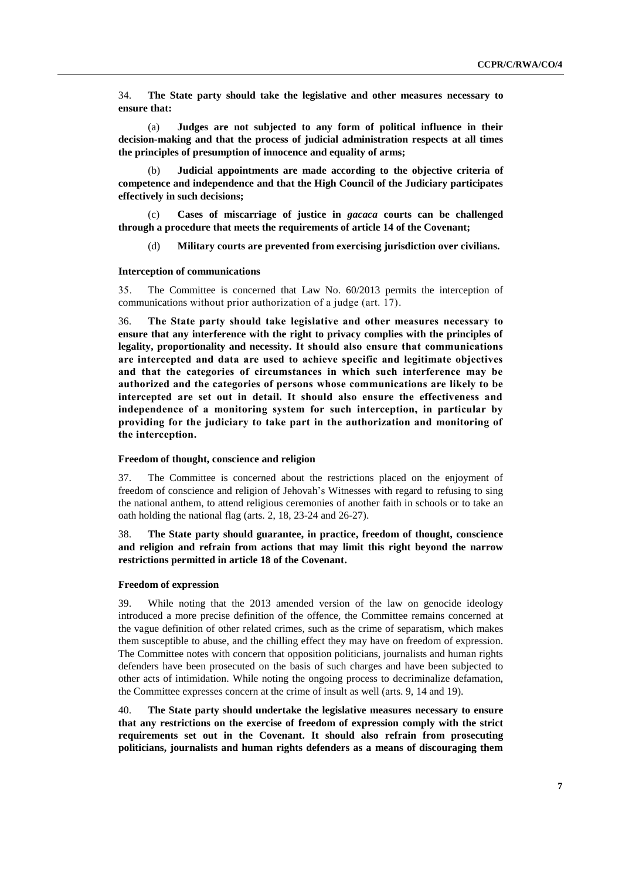34. **The State party should take the legislative and other measures necessary to ensure that:**

(a) **Judges are not subjected to any form of political influence in their decision-making and that the process of judicial administration respects at all times the principles of presumption of innocence and equality of arms;**

(b) **Judicial appointments are made according to the objective criteria of competence and independence and that the High Council of the Judiciary participates effectively in such decisions;**

(c) **Cases of miscarriage of justice in** *gacaca* **courts can be challenged through a procedure that meets the requirements of article 14 of the Covenant;**

(d) **Military courts are prevented from exercising jurisdiction over civilians.**

#### **Interception of communications**

35. The Committee is concerned that Law No. 60/2013 permits the interception of communications without prior authorization of a judge (art. 17).

36. **The State party should take legislative and other measures necessary to ensure that any interference with the right to privacy complies with the principles of legality, proportionality and necessity. It should also ensure that communications are intercepted and data are used to achieve specific and legitimate objectives and that the categories of circumstances in which such interference may be authorized and the categories of persons whose communications are likely to be intercepted are set out in detail. It should also ensure the effectiveness and independence of a monitoring system for such interception, in particular by providing for the judiciary to take part in the authorization and monitoring of the interception.**

#### **Freedom of thought, conscience and religion**

37. The Committee is concerned about the restrictions placed on the enjoyment of freedom of conscience and religion of Jehovah's Witnesses with regard to refusing to sing the national anthem, to attend religious ceremonies of another faith in schools or to take an oath holding the national flag (arts. 2, 18, 23-24 and 26-27).

# 38. **The State party should guarantee, in practice, freedom of thought, conscience and religion and refrain from actions that may limit this right beyond the narrow restrictions permitted in article 18 of the Covenant.**

#### **Freedom of expression**

39. While noting that the 2013 amended version of the law on genocide ideology introduced a more precise definition of the offence, the Committee remains concerned at the vague definition of other related crimes, such as the crime of separatism, which makes them susceptible to abuse, and the chilling effect they may have on freedom of expression. The Committee notes with concern that opposition politicians, journalists and human rights defenders have been prosecuted on the basis of such charges and have been subjected to other acts of intimidation. While noting the ongoing process to decriminalize defamation, the Committee expresses concern at the crime of insult as well (arts. 9, 14 and 19).

40. **The State party should undertake the legislative measures necessary to ensure that any restrictions on the exercise of freedom of expression comply with the strict requirements set out in the Covenant. It should also refrain from prosecuting politicians, journalists and human rights defenders as a means of discouraging them**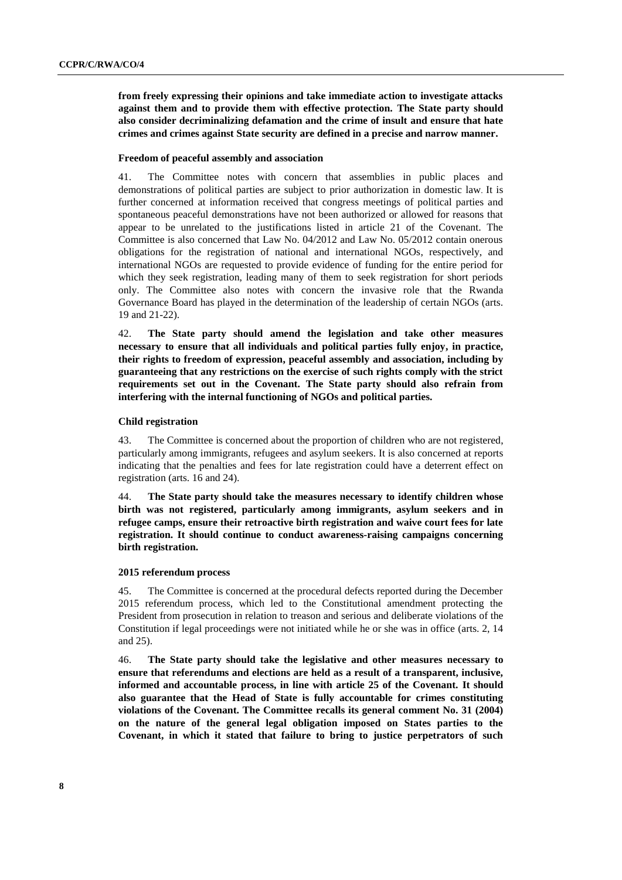**from freely expressing their opinions and take immediate action to investigate attacks against them and to provide them with effective protection. The State party should also consider decriminalizing defamation and the crime of insult and ensure that hate crimes and crimes against State security are defined in a precise and narrow manner.**

#### **Freedom of peaceful assembly and association**

41. The Committee notes with concern that assemblies in public places and demonstrations of political parties are subject to prior authorization in domestic law. It is further concerned at information received that congress meetings of political parties and spontaneous peaceful demonstrations have not been authorized or allowed for reasons that appear to be unrelated to the justifications listed in article 21 of the Covenant. The Committee is also concerned that Law No. 04/2012 and Law No. 05/2012 contain onerous obligations for the registration of national and international NGOs, respectively, and international NGOs are requested to provide evidence of funding for the entire period for which they seek registration, leading many of them to seek registration for short periods only. The Committee also notes with concern the invasive role that the Rwanda Governance Board has played in the determination of the leadership of certain NGOs (arts. 19 and 21-22).

42. **The State party should amend the legislation and take other measures necessary to ensure that all individuals and political parties fully enjoy, in practice, their rights to freedom of expression, peaceful assembly and association, including by guaranteeing that any restrictions on the exercise of such rights comply with the strict requirements set out in the Covenant. The State party should also refrain from interfering with the internal functioning of NGOs and political parties.**

#### **Child registration**

43. The Committee is concerned about the proportion of children who are not registered, particularly among immigrants, refugees and asylum seekers. It is also concerned at reports indicating that the penalties and fees for late registration could have a deterrent effect on registration (arts. 16 and 24).

44. **The State party should take the measures necessary to identify children whose birth was not registered, particularly among immigrants, asylum seekers and in refugee camps, ensure their retroactive birth registration and waive court fees for late registration. It should continue to conduct awareness-raising campaigns concerning birth registration.**

#### **2015 referendum process**

45. The Committee is concerned at the procedural defects reported during the December 2015 referendum process, which led to the Constitutional amendment protecting the President from prosecution in relation to treason and serious and deliberate violations of the Constitution if legal proceedings were not initiated while he or she was in office (arts. 2, 14 and 25).

46. **The State party should take the legislative and other measures necessary to ensure that referendums and elections are held as a result of a transparent, inclusive, informed and accountable process, in line with article 25 of the Covenant. It should also guarantee that the Head of State is fully accountable for crimes constituting violations of the Covenant. The Committee recalls its general comment No. 31 (2004) on the nature of the general legal obligation imposed on States parties to the Covenant, in which it stated that failure to bring to justice perpetrators of such**